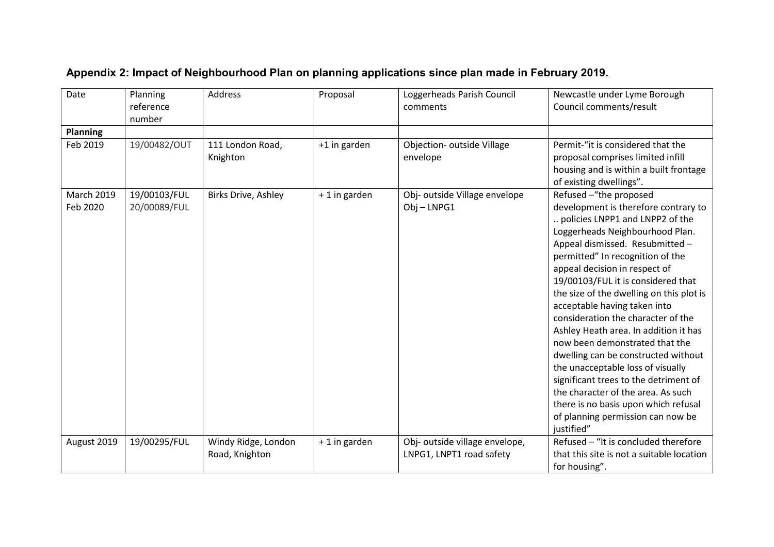| Date                          | Planning<br>reference        | <b>Address</b>                        | Proposal      | Loggerheads Parish Council<br>comments                     | Newcastle under Lyme Borough<br>Council comments/result                                                                                                                                                                                                                                                                                                                                                                                                                                                                                                                                                                                                                                                                               |
|-------------------------------|------------------------------|---------------------------------------|---------------|------------------------------------------------------------|---------------------------------------------------------------------------------------------------------------------------------------------------------------------------------------------------------------------------------------------------------------------------------------------------------------------------------------------------------------------------------------------------------------------------------------------------------------------------------------------------------------------------------------------------------------------------------------------------------------------------------------------------------------------------------------------------------------------------------------|
| <b>Planning</b>               | number                       |                                       |               |                                                            |                                                                                                                                                                                                                                                                                                                                                                                                                                                                                                                                                                                                                                                                                                                                       |
| Feb 2019                      | 19/00482/OUT                 | 111 London Road,<br>Knighton          | +1 in garden  | Objection- outside Village<br>envelope                     | Permit-"it is considered that the<br>proposal comprises limited infill<br>housing and is within a built frontage<br>of existing dwellings".                                                                                                                                                                                                                                                                                                                                                                                                                                                                                                                                                                                           |
| <b>March 2019</b><br>Feb 2020 | 19/00103/FUL<br>20/00089/FUL | <b>Birks Drive, Ashley</b>            | + 1 in garden | Obj- outside Village envelope<br>Obj-LNPG1                 | Refused -"the proposed<br>development is therefore contrary to<br>policies LNPP1 and LNPP2 of the<br>Loggerheads Neighbourhood Plan.<br>Appeal dismissed. Resubmitted -<br>permitted" In recognition of the<br>appeal decision in respect of<br>19/00103/FUL it is considered that<br>the size of the dwelling on this plot is<br>acceptable having taken into<br>consideration the character of the<br>Ashley Heath area. In addition it has<br>now been demonstrated that the<br>dwelling can be constructed without<br>the unacceptable loss of visually<br>significant trees to the detriment of<br>the character of the area. As such<br>there is no basis upon which refusal<br>of planning permission can now be<br>justified" |
| August 2019                   | 19/00295/FUL                 | Windy Ridge, London<br>Road, Knighton | + 1 in garden | Obj- outside village envelope,<br>LNPG1, LNPT1 road safety | Refused - "It is concluded therefore<br>that this site is not a suitable location<br>for housing".                                                                                                                                                                                                                                                                                                                                                                                                                                                                                                                                                                                                                                    |
|                               |                              |                                       |               |                                                            |                                                                                                                                                                                                                                                                                                                                                                                                                                                                                                                                                                                                                                                                                                                                       |

## **Appendix 2: Impact of Neighbourhood Plan on planning applications since plan made in February 2019.**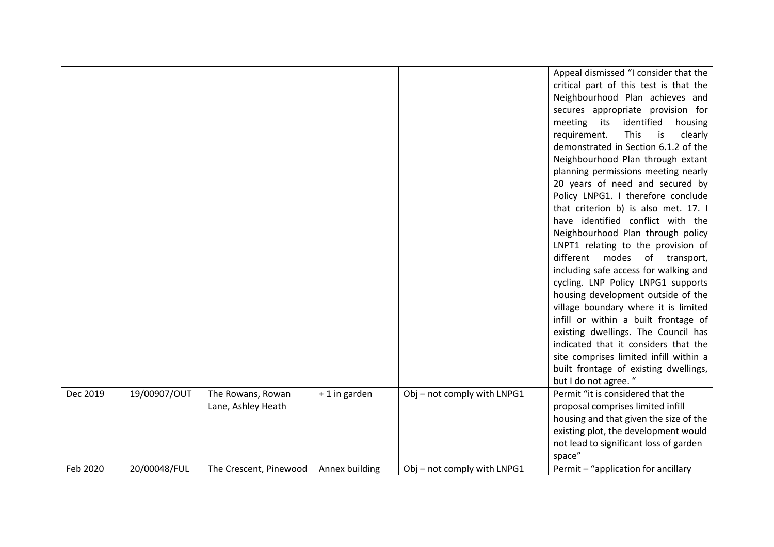|          |              |                                         |                |                             | Appeal dismissed "I consider that the<br>critical part of this test is that the<br>Neighbourhood Plan achieves and<br>secures appropriate provision for<br>meeting its identified<br>housing<br>This<br>is<br>clearly<br>requirement.<br>demonstrated in Section 6.1.2 of the<br>Neighbourhood Plan through extant<br>planning permissions meeting nearly<br>20 years of need and secured by<br>Policy LNPG1. I therefore conclude<br>that criterion b) is also met. 17. I<br>have identified conflict with the<br>Neighbourhood Plan through policy<br>LNPT1 relating to the provision of<br>different modes of transport,<br>including safe access for walking and<br>cycling. LNP Policy LNPG1 supports<br>housing development outside of the<br>village boundary where it is limited<br>infill or within a built frontage of<br>existing dwellings. The Council has<br>indicated that it considers that the<br>site comprises limited infill within a<br>built frontage of existing dwellings,<br>but I do not agree. " |
|----------|--------------|-----------------------------------------|----------------|-----------------------------|-----------------------------------------------------------------------------------------------------------------------------------------------------------------------------------------------------------------------------------------------------------------------------------------------------------------------------------------------------------------------------------------------------------------------------------------------------------------------------------------------------------------------------------------------------------------------------------------------------------------------------------------------------------------------------------------------------------------------------------------------------------------------------------------------------------------------------------------------------------------------------------------------------------------------------------------------------------------------------------------------------------------------------|
| Dec 2019 | 19/00907/OUT | The Rowans, Rowan<br>Lane, Ashley Heath | + 1 in garden  | Obj - not comply with LNPG1 | Permit "it is considered that the<br>proposal comprises limited infill<br>housing and that given the size of the<br>existing plot, the development would<br>not lead to significant loss of garden<br>space"                                                                                                                                                                                                                                                                                                                                                                                                                                                                                                                                                                                                                                                                                                                                                                                                                |
| Feb 2020 | 20/00048/FUL | The Crescent, Pinewood                  | Annex building | Obj - not comply with LNPG1 | Permit - "application for ancillary                                                                                                                                                                                                                                                                                                                                                                                                                                                                                                                                                                                                                                                                                                                                                                                                                                                                                                                                                                                         |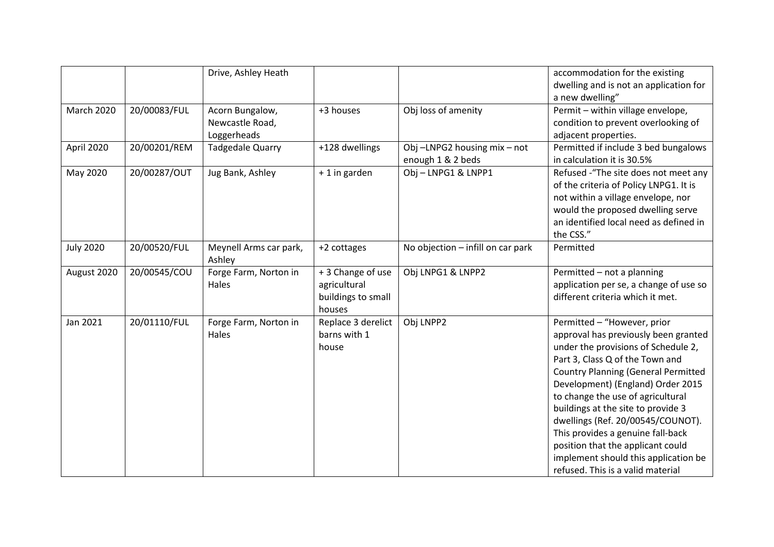|                   |              | Drive, Ashley Heath     |                    |                                   | accommodation for the existing             |
|-------------------|--------------|-------------------------|--------------------|-----------------------------------|--------------------------------------------|
|                   |              |                         |                    |                                   | dwelling and is not an application for     |
|                   |              |                         |                    |                                   | a new dwelling"                            |
| <b>March 2020</b> | 20/00083/FUL | Acorn Bungalow,         | +3 houses          | Obj loss of amenity               | Permit - within village envelope,          |
|                   |              | Newcastle Road,         |                    |                                   | condition to prevent overlooking of        |
|                   |              | Loggerheads             |                    |                                   | adjacent properties.                       |
| April 2020        | 20/00201/REM | <b>Tadgedale Quarry</b> | +128 dwellings     | Obj-LNPG2 housing mix-not         | Permitted if include 3 bed bungalows       |
|                   |              |                         |                    | enough 1 & 2 beds                 | in calculation it is 30.5%                 |
| May 2020          | 20/00287/OUT | Jug Bank, Ashley        | + 1 in garden      | Obj-LNPG1 & LNPP1                 | Refused - "The site does not meet any      |
|                   |              |                         |                    |                                   | of the criteria of Policy LNPG1. It is     |
|                   |              |                         |                    |                                   | not within a village envelope, nor         |
|                   |              |                         |                    |                                   | would the proposed dwelling serve          |
|                   |              |                         |                    |                                   | an identified local need as defined in     |
|                   |              |                         |                    |                                   | the CSS."                                  |
| <b>July 2020</b>  | 20/00520/FUL | Meynell Arms car park,  | +2 cottages        | No objection - infill on car park | Permitted                                  |
|                   |              | Ashley                  |                    |                                   |                                            |
| August 2020       | 20/00545/COU | Forge Farm, Norton in   | + 3 Change of use  | Obj LNPG1 & LNPP2                 | Permitted - not a planning                 |
|                   |              | Hales                   | agricultural       |                                   | application per se, a change of use so     |
|                   |              |                         | buildings to small |                                   | different criteria which it met.           |
|                   |              |                         | houses             |                                   |                                            |
| Jan 2021          | 20/01110/FUL | Forge Farm, Norton in   | Replace 3 derelict | Obj LNPP2                         | Permitted - "However, prior                |
|                   |              | Hales                   | barns with 1       |                                   | approval has previously been granted       |
|                   |              |                         | house              |                                   | under the provisions of Schedule 2,        |
|                   |              |                         |                    |                                   | Part 3, Class Q of the Town and            |
|                   |              |                         |                    |                                   | <b>Country Planning (General Permitted</b> |
|                   |              |                         |                    |                                   | Development) (England) Order 2015          |
|                   |              |                         |                    |                                   | to change the use of agricultural          |
|                   |              |                         |                    |                                   | buildings at the site to provide 3         |
|                   |              |                         |                    |                                   | dwellings (Ref. 20/00545/COUNOT).          |
|                   |              |                         |                    |                                   | This provides a genuine fall-back          |
|                   |              |                         |                    |                                   | position that the applicant could          |
|                   |              |                         |                    |                                   | implement should this application be       |
|                   |              |                         |                    |                                   | refused. This is a valid material          |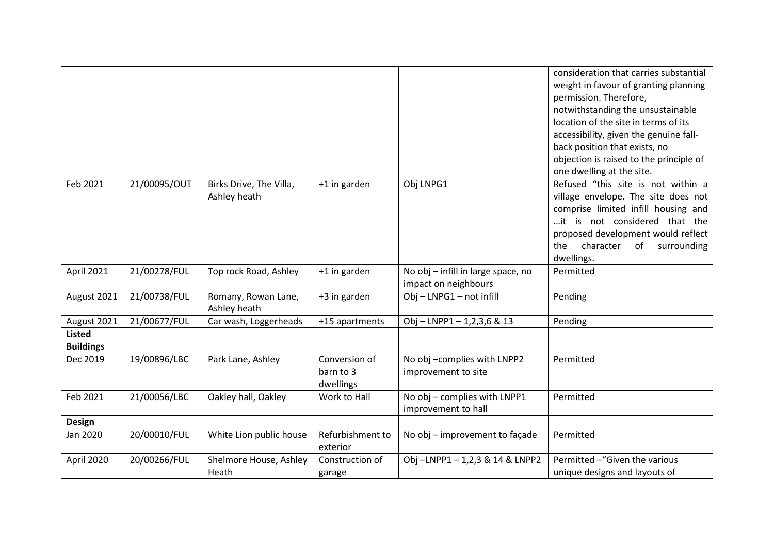|                  |              |                                     |                  |                                                     | consideration that carries substantial<br>weight in favour of granting planning |
|------------------|--------------|-------------------------------------|------------------|-----------------------------------------------------|---------------------------------------------------------------------------------|
|                  |              |                                     |                  |                                                     | permission. Therefore,                                                          |
|                  |              |                                     |                  |                                                     | notwithstanding the unsustainable                                               |
|                  |              |                                     |                  |                                                     | location of the site in terms of its                                            |
|                  |              |                                     |                  |                                                     | accessibility, given the genuine fall-                                          |
|                  |              |                                     |                  |                                                     | back position that exists, no                                                   |
|                  |              |                                     |                  |                                                     | objection is raised to the principle of                                         |
|                  |              |                                     |                  |                                                     | one dwelling at the site.                                                       |
| Feb 2021         | 21/00095/OUT | Birks Drive, The Villa,             | +1 in garden     | Obj LNPG1                                           | Refused "this site is not within a                                              |
|                  |              | Ashley heath                        |                  |                                                     | village envelope. The site does not                                             |
|                  |              |                                     |                  |                                                     | comprise limited infill housing and                                             |
|                  |              |                                     |                  |                                                     | it is not considered that the                                                   |
|                  |              |                                     |                  |                                                     | proposed development would reflect                                              |
|                  |              |                                     |                  |                                                     | character<br>of<br>surrounding<br>the                                           |
|                  |              |                                     |                  |                                                     | dwellings.                                                                      |
| April 2021       | 21/00278/FUL | Top rock Road, Ashley               | +1 in garden     | No obj - infill in large space, no                  | Permitted                                                                       |
|                  |              |                                     |                  | impact on neighbours                                |                                                                                 |
| August 2021      | 21/00738/FUL | Romany, Rowan Lane,<br>Ashley heath | +3 in garden     | Obj - LNPG1 - not infill                            | Pending                                                                         |
| August 2021      | 21/00677/FUL | Car wash, Loggerheads               | +15 apartments   | Obj - LNPP1 - 1,2,3,6 & 13                          | Pending                                                                         |
| <b>Listed</b>    |              |                                     |                  |                                                     |                                                                                 |
| <b>Buildings</b> |              |                                     |                  |                                                     |                                                                                 |
| Dec 2019         | 19/00896/LBC | Park Lane, Ashley                   | Conversion of    | No obj -complies with LNPP2                         | Permitted                                                                       |
|                  |              |                                     | barn to 3        | improvement to site                                 |                                                                                 |
|                  |              |                                     | dwellings        |                                                     |                                                                                 |
| Feb 2021         | 21/00056/LBC | Oakley hall, Oakley                 | Work to Hall     | No obj - complies with LNPP1<br>improvement to hall | Permitted                                                                       |
| <b>Design</b>    |              |                                     |                  |                                                     |                                                                                 |
| Jan 2020         | 20/00010/FUL | White Lion public house             | Refurbishment to | No obj - improvement to façade                      | Permitted                                                                       |
|                  |              |                                     | exterior         |                                                     |                                                                                 |
| April 2020       | 20/00266/FUL | Shelmore House, Ashley              | Construction of  | Obj-LNPP1-1,2,3 & 14 & LNPP2                        | Permitted -"Given the various                                                   |
|                  |              | Heath                               | garage           |                                                     | unique designs and layouts of                                                   |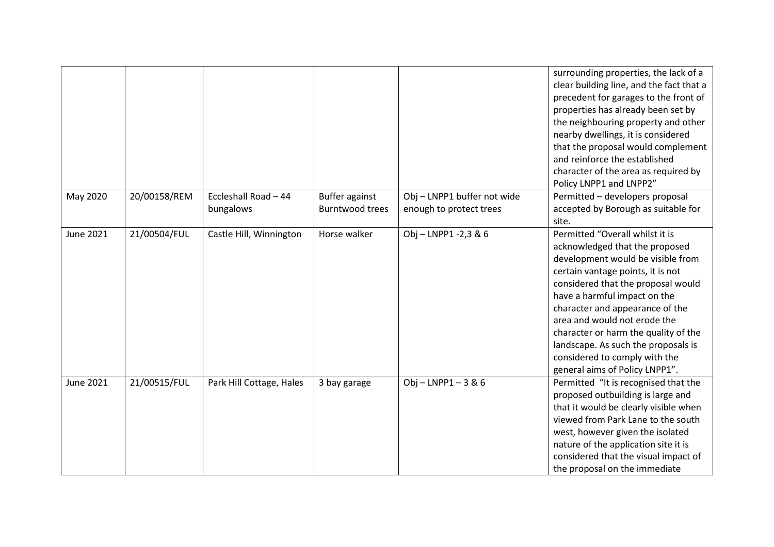|                  |              |                                   |                                                 |                                                        | surrounding properties, the lack of a<br>clear building line, and the fact that a<br>precedent for garages to the front of<br>properties has already been set by<br>the neighbouring property and other<br>nearby dwellings, it is considered<br>that the proposal would complement<br>and reinforce the established<br>character of the area as required by<br>Policy LNPP1 and LNPP2"                                                |
|------------------|--------------|-----------------------------------|-------------------------------------------------|--------------------------------------------------------|----------------------------------------------------------------------------------------------------------------------------------------------------------------------------------------------------------------------------------------------------------------------------------------------------------------------------------------------------------------------------------------------------------------------------------------|
| May 2020         | 20/00158/REM | Eccleshall Road - 44<br>bungalows | <b>Buffer against</b><br><b>Burntwood trees</b> | Obj - LNPP1 buffer not wide<br>enough to protect trees | Permitted - developers proposal<br>accepted by Borough as suitable for<br>site.                                                                                                                                                                                                                                                                                                                                                        |
| <b>June 2021</b> | 21/00504/FUL | Castle Hill, Winnington           | Horse walker                                    | Obj - LNPP1 -2,3 & 6                                   | Permitted "Overall whilst it is<br>acknowledged that the proposed<br>development would be visible from<br>certain vantage points, it is not<br>considered that the proposal would<br>have a harmful impact on the<br>character and appearance of the<br>area and would not erode the<br>character or harm the quality of the<br>landscape. As such the proposals is<br>considered to comply with the<br>general aims of Policy LNPP1". |
| <b>June 2021</b> | 21/00515/FUL | Park Hill Cottage, Hales          | 3 bay garage                                    | $Obj - LNPP1 - 3 & 6$                                  | Permitted "It is recognised that the<br>proposed outbuilding is large and<br>that it would be clearly visible when<br>viewed from Park Lane to the south<br>west, however given the isolated<br>nature of the application site it is<br>considered that the visual impact of<br>the proposal on the immediate                                                                                                                          |